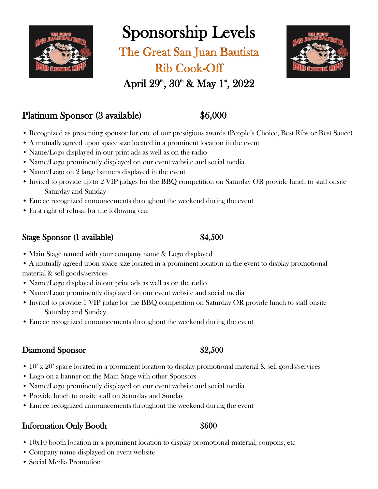

Sponsorship Levels

The Great San Juan Bautista **Rib Cook-Off** 



# April  $29^{\circ}$ ,  $30^{\circ}$  & May 1<sup>\*</sup>,  $2022$

## Platinum Sponsor (3 available) \$6,000

- Recognized as presenting sponsor for one of our prestigious awards (People's Choice, Best Ribs or Best Sauce)
- A mutually agreed upon space size located in a prominent location in the event
- Name/Logo displayed in our print ads as well as on the radio
- Name/Logo prominently displayed on our event website and social media
- Name/Logo on 2 large banners displayed in the event
- Invited to provide up to 2 VIP judges for the BBQ competition on Saturday OR provide lunch to staff onsite Saturday and Sunday
- Emcee recognized announcements throughout the weekend during the event
- First right of refusal for the following year

#### Stage Sponsor (1 available) \$4,500

- Main Stage named with your company name & Logo displayed
- A mutually agreed upon space size located in a prominent location in the event to display promotional material & sell goods/services
- Name/Logo displayed in our print ads as well as on the radio
- Name/Logo prominently displayed on our event website and social media
- Invited to provide 1 VIP judge for the BBQ competition on Saturday OR provide lunch to staff onsite Saturday and Sunday
- Emcee recognized announcements throughout the weekend during the event

### Diamond Sponsor \$2,500

- 
- 10' x 20' space located in a prominent location to display promotional material & sell goods/services
- Logo on a banner on the Main Stage with other Sponsors
- Name/Logo prominently displayed on our event website and social media
- Provide lunch to onsite staff on Saturday and Sunday
- Emcee recognized announcements throughout the weekend during the event

### Information Only Booth  $$600$

- 10x10 booth location in a prominent location to display promotional material, coupons, etc
- Company name displayed on event website
- Social Media Promotion